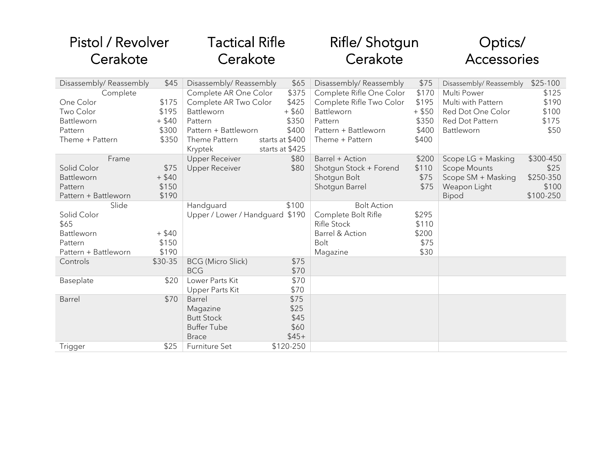| Pistol / Revolver                |          | Tactical Rifle                         |                 | Rifle/ Shotgun           |          | Optics/                |           |
|----------------------------------|----------|----------------------------------------|-----------------|--------------------------|----------|------------------------|-----------|
| Cerakote                         |          | Cerakote                               |                 | Cerakote                 |          | Accessories            |           |
| Disassembly/Reassembly           | \$45     | Disassembly/Reassembly                 | \$65            | Disassembly/Reassembly   | \$75     | Disassembly/Reassembly | $$25-100$ |
| Complete                         |          | Complete AR One Color                  | \$375           | Complete Rifle One Color | \$170    | Multi Power            | \$125     |
| One Color                        | \$175    | Complete AR Two Color                  | \$425           | Complete Rifle Two Color | \$195    | Multi with Pattern     | \$190     |
| Two Color                        | \$195    | Battleworn                             | $+$ \$60        | Battleworn               | $+$ \$50 | Red Dot One Color      | \$100     |
| Battleworn                       | $+$ \$40 | Pattern                                | \$350           | Pattern                  | \$350    | Red Dot Pattern        | \$175     |
| Pattern                          | \$300    | Pattern + Battleworn                   | \$400           | Pattern + Battleworn     | \$400    | Battleworn             | \$50      |
| Theme + Pattern                  | \$350    | Theme Pattern                          | starts at \$400 | Theme + Pattern          | \$400    |                        |           |
|                                  |          | Kryptek                                | starts at \$425 |                          |          |                        |           |
| Frame                            |          | <b>Upper Receiver</b>                  | \$80            | Barrel + Action          | \$200    | Scope LG + Masking     | \$300-450 |
| Solid Color                      | \$75     | <b>Upper Receiver</b>                  | \$80            | Shotgun Stock + Forend   | \$110    | <b>Scope Mounts</b>    | \$25      |
| Battleworn                       | $+$ \$40 |                                        |                 | Shotgun Bolt             | \$75     | Scope SM + Masking     | \$250-350 |
| Pattern                          | \$150    |                                        |                 | Shotgun Barrel           | \$75     | Weapon Light           | \$100     |
| Pattern + Battleworn             | \$190    |                                        |                 |                          |          | Bipod                  | \$100-250 |
| Slide                            |          | Handguard                              | \$100           | <b>Bolt Action</b>       |          |                        |           |
| Solid Color                      |          | Upper / Lower / Handguard \$190        |                 | Complete Bolt Rifle      | \$295    |                        |           |
| \$65                             |          |                                        |                 | <b>Rifle Stock</b>       | \$110    |                        |           |
| Battleworn                       | $+$ \$40 |                                        |                 | Barrel & Action          | \$200    |                        |           |
| Pattern                          | \$150    |                                        |                 | Bolt                     | \$75     |                        |           |
| Pattern + Battleworn<br>Controls | \$190    |                                        | \$75            | Magazine                 | \$30     |                        |           |
|                                  | \$30-35  | <b>BCG</b> (Micro Slick)<br><b>BCG</b> | \$70            |                          |          |                        |           |
| Baseplate                        | \$20     | Lower Parts Kit                        | \$70            |                          |          |                        |           |
|                                  |          | Upper Parts Kit                        | \$70            |                          |          |                        |           |
| Barrel                           | \$70     | Barrel                                 | \$75            |                          |          |                        |           |
|                                  |          | Magazine                               | \$25            |                          |          |                        |           |
|                                  |          | <b>Butt Stock</b>                      | \$45            |                          |          |                        |           |
|                                  |          | <b>Buffer Tube</b>                     | \$60            |                          |          |                        |           |
|                                  |          | <b>Brace</b>                           | $$45+$          |                          |          |                        |           |
| Trigger                          | \$25     | Furniture Set                          | \$120-250       |                          |          |                        |           |